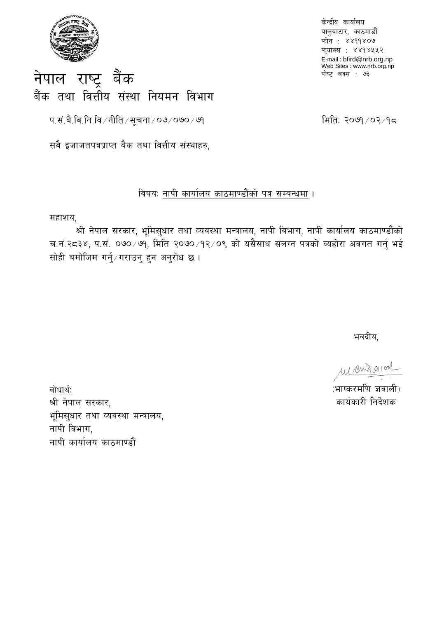

केन्द्रीय कार्यालय बालुवाटार, काठमाडौं फोन: ४४११४०७ फ़्याक्स : ४४१४५५२ E-mail: bfird@nrb.org.np Web Sites : www.nrb.org.np पोष्ट बक्स : ७३

## नेपाल राष्ट्र बैंक बैंक तथा वित्तीय संस्था नियमन विभाग

प.सं.बै.वि.नि.वि ⁄ नीति ⁄ सूचना ⁄ ०७/ ०७० ⁄ ७१

मिति: २०७१/०२/१८

सवै इजाजतपत्रप्राप्त बैक तथा वित्तीय संस्थाहरु,

## विषय: नापी कार्यालय काठमाण्डौंको पत्र सम्बन्धमा ।

## महाशय,

श्री नेपाल सरकार, भूमिस्धार तथा व्यवस्था मन्त्रालय, नापी विभाग, नापी कार्यालय काठमाण्डौंको च.नं.२८३४, प.सं. ०७०/७१, मिति २०७०/१२/०९ को यसैसाथ संलग्न पत्रको व्यहोरा अवगत गर्नु भई सोही बमोजिम गर्न्/गराउन् हन अन्रोध छ।

भवदीय,

Manziaion

(भाष्करमणि ज्ञवाली) कार्यकारी निर्देशक

बोधार्थ: श्री नेपाल सरकार, भूमिस्धार तथा व्यवस्था मन्त्रालय, नापी विभाग, नापी कार्यालय काठमाण्डौं